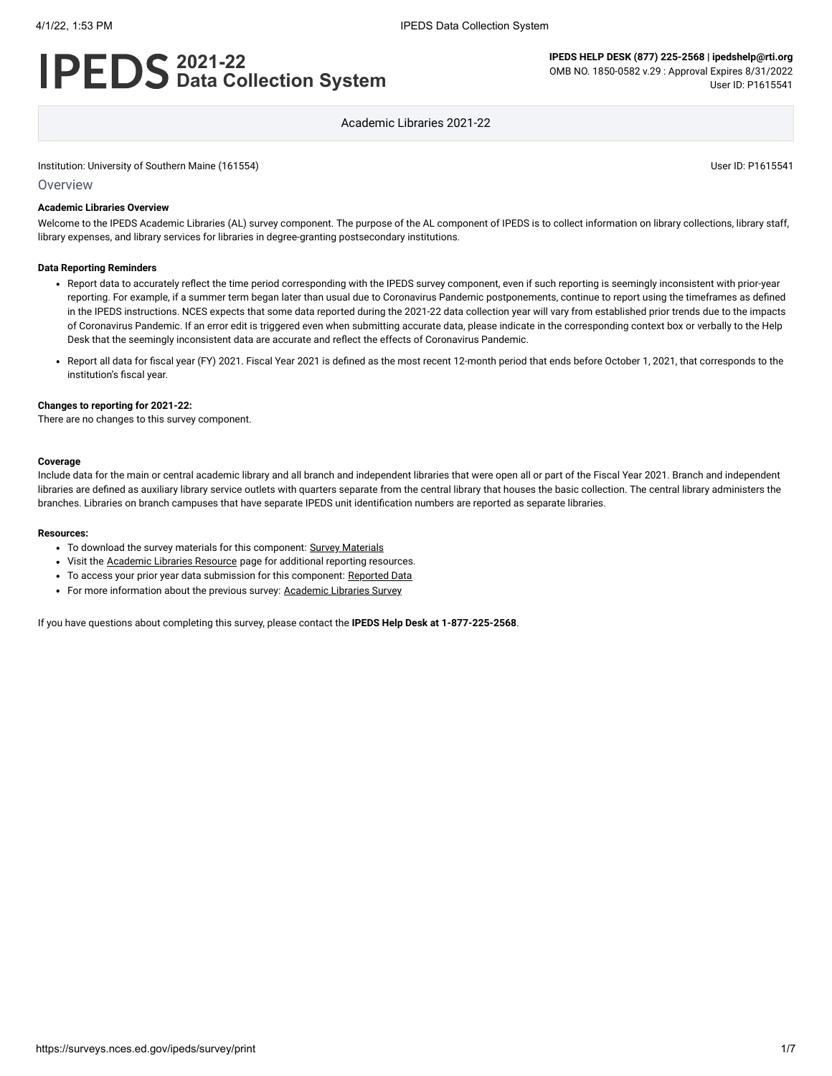# **2021-22 Data Collection System**

**IPEDS HELP DESK (877) 225-2568 | ipedshelp@rti.org** OMB NO. 1850-0582 v.29 : Approval Expires 8/31/2022 User ID: P1615541

Academic Libraries 2021-22

Institution: University of Southern Maine (161554) User ID: P1615541

**Overview** 

### **Academic Libraries Overview**

Welcome to the IPEDS Academic Libraries (AL) survey component. The purpose of the AL component of IPEDS is to collect information on library collections, library staff, library expenses, and library services for libraries in degree-granting postsecondary institutions.

#### **Data Reporting Reminders**

- Report data to accurately reflect the time period corresponding with the IPEDS survey component, even if such reporting is seemingly inconsistent with prior-year reporting. For example, if a summer term began later than usual due to Coronavirus Pandemic postponements, continue to report using the timeframes as defined in the IPEDS instructions. NCES expects that some data reported during the 2021-22 data collection year will vary from established prior trends due to the impacts of Coronavirus Pandemic. If an error edit is triggered even when submitting accurate data, please indicate in the corresponding context box or verbally to the Help Desk that the seemingly inconsistent data are accurate and reflect the effects of Coronavirus Pandemic.
- Report all data for fiscal year (FY) 2021. Fiscal Year 2021 is defined as the most recent 12-month period that ends before October 1, 2021, that corresponds to the institution's fiscal year.

#### **Changes to reporting for 2021-22:**

There are no changes to this survey component.

#### **Coverage**

Include data for the main or central academic library and all branch and independent libraries that were open all or part of the Fiscal Year 2021. Branch and independent libraries are defined as auxiliary library service outlets with quarters separate from the central library that houses the basic collection. The central library administers the branches. Libraries on branch campuses that have separate IPEDS unit identification numbers are reported as separate libraries.

#### **Resources:**

- To download the survey materials for this component: Survey [Materials](https://surveys.nces.ed.gov/ipeds/public/survey-materials/index)
- Visit the **[Academic](https://nces.ed.gov/ipeds/report-your-data/resource-center-academic-libraries) Libraries Resource** page for additional reporting resources.
- To access your prior year data submission for this component: [Reported Data](javascript:openReportedData(161554, 15))
- For more information about the previous survey: [Academic](https://nces.ed.gov/surveys/libraries/academic.asp) Libraries Survey

If you have questions about completing this survey, please contact the **IPEDS Help Desk at 1-877-225-2568**.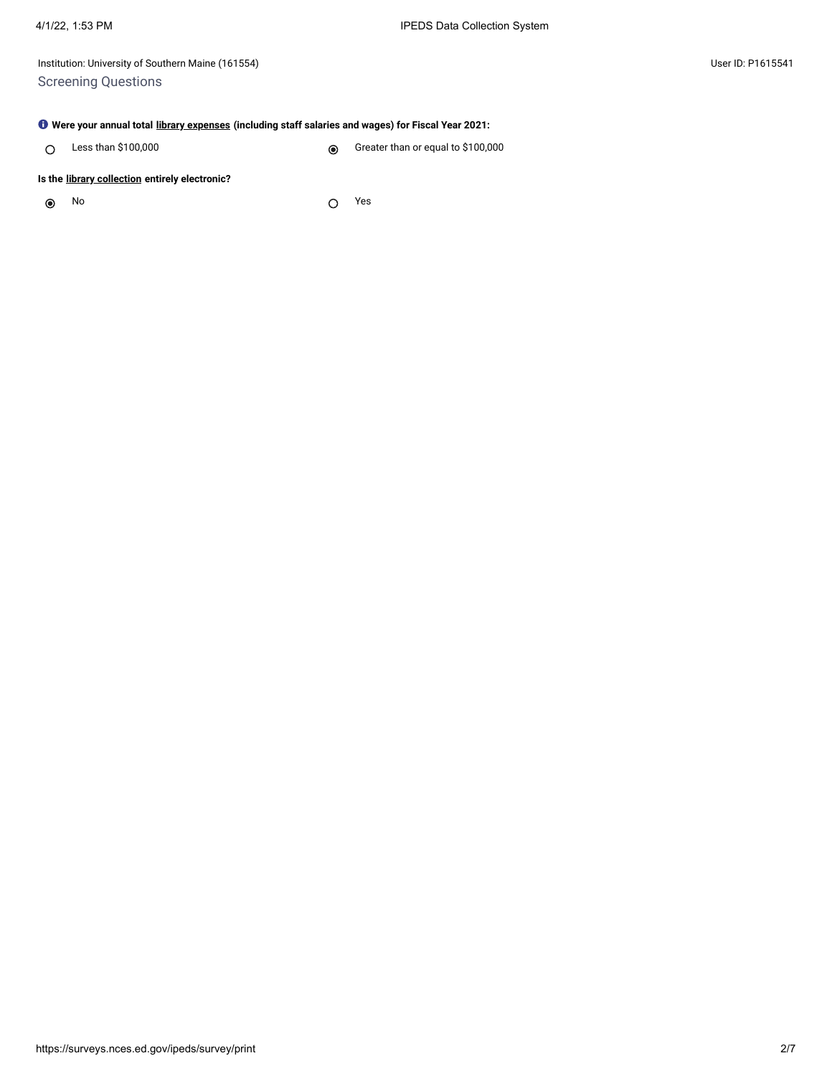Institution: University of Southern Maine (161554) User ID: P1615541 Screening Questions

### **Were your annual total [library expenses](javascript:openglossary(1040)) (including staff salaries and wages) for Fiscal Year 2021:**

Less than \$100,000 Creater than or equal to \$100,000  $\circ$ 

### **Is the [library collection](javascript:openglossary(932)) entirely electronic?**

 $\odot$ 

No Yes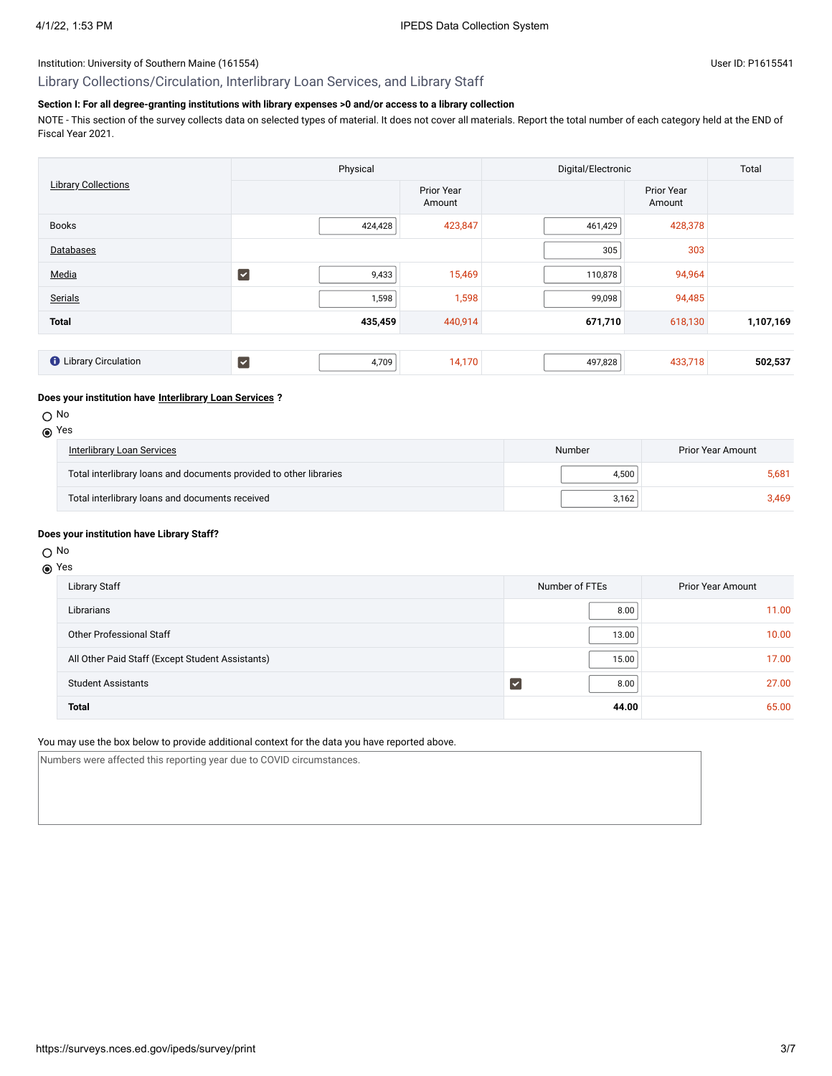# Library Collections/Circulation, Interlibrary Loan Services, and Library Staff

# **Section I: For all degree-granting institutions with library expenses >0 and/or access to a library collection**

NOTE - This section of the survey collects data on selected types of material. It does not cover all materials. Report the total number of each category held at the END of Fiscal Year 2021.

|                              | Physical                      |                      | Digital/Electronic | Total                |           |
|------------------------------|-------------------------------|----------------------|--------------------|----------------------|-----------|
| <b>Library Collections</b>   |                               | Prior Year<br>Amount |                    | Prior Year<br>Amount |           |
| <b>Books</b>                 | 424,428                       | 423,847              | 461,429            | 428,378              |           |
| Databases                    |                               |                      | 305                | 303                  |           |
| Media                        | $\blacktriangledown$<br>9,433 | 15,469               | 110,878            | 94,964               |           |
| Serials                      | 1,598                         | 1,598                | 99,098             | 94,485               |           |
| <b>Total</b>                 | 435,459                       | 440,914              | 671,710            | 618,130              | 1,107,169 |
|                              |                               |                      |                    |                      |           |
| <b>O</b> Library Circulation | $\blacktriangledown$<br>4,709 | 14,170               | 497,828            | 433,718              | 502,537   |

### **Does your institution have [Interlibrary Loan Services](javascript:openglossary(1025)) ?**

O No

| (a) Yes                           |
|-----------------------------------|
| <b>Interlibrary Loan Services</b> |

| Interlibrary Loan Services                                         | Number | Prior Year Amount |  |
|--------------------------------------------------------------------|--------|-------------------|--|
| Total interlibrary loans and documents provided to other libraries | 4.500  | 5.681             |  |
| Total interlibrary loans and documents received                    | 3.162  | 3.469             |  |

### **Does your institution have Library Staff?**

# O No

## Yes

| Library Staff                                    | Number of FTEs | <b>Prior Year Amount</b> |
|--------------------------------------------------|----------------|--------------------------|
| Librarians                                       | 8.00           | 11.00                    |
| Other Professional Staff                         | 13.00          | 10.00                    |
| All Other Paid Staff (Except Student Assistants) | 15.00          | 17.00                    |
| <b>Student Assistants</b>                        | 8.00           | 27.00                    |
| <b>Total</b>                                     | 44.00          | 65.00                    |

### You may use the box below to provide additional context for the data you have reported above.

Numbers were affected this reporting year due to COVID circumstances.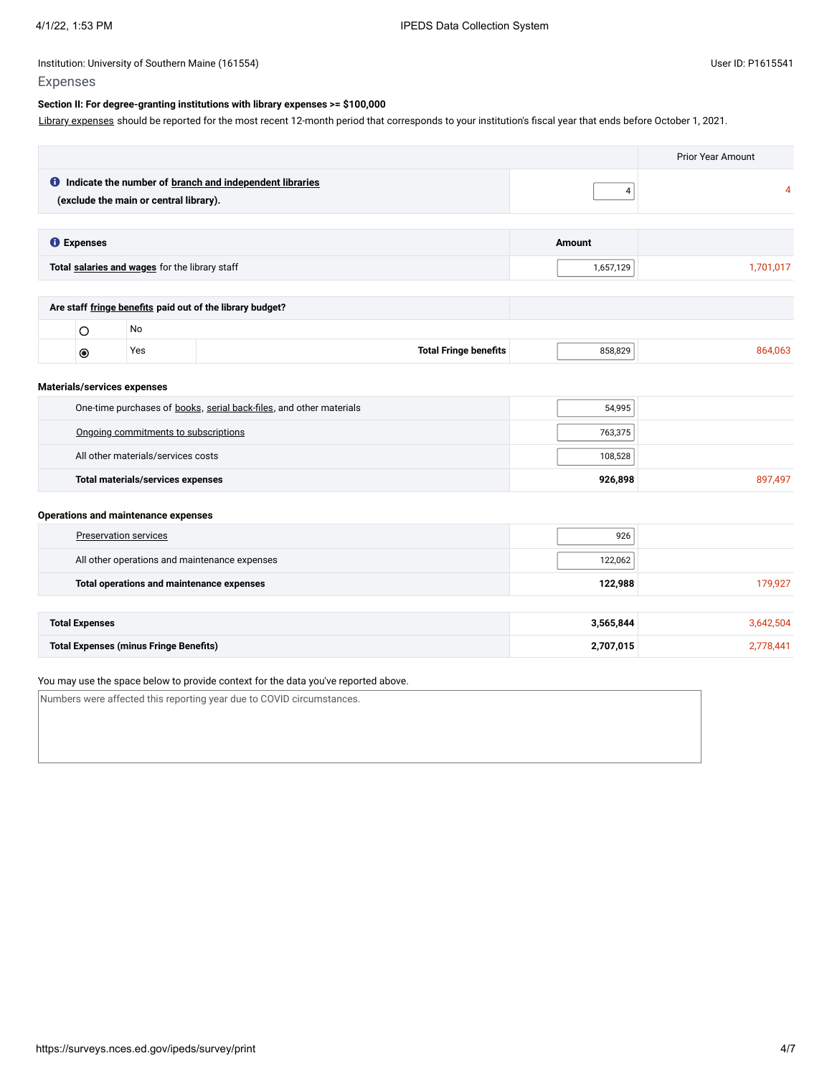### Expenses

### **Section II: For degree-granting institutions with library expenses >= \$100,000**

Library [expenses](javascript:openglossary(1040)) should be reported for the most recent 12-month period that corresponds to your institution's fiscal year that ends before October 1, 2021.

|                       |                                                |                                                                     |            | <b>Prior Year Amount</b> |
|-----------------------|------------------------------------------------|---------------------------------------------------------------------|------------|--------------------------|
|                       | (exclude the main or central library).         | <b>O</b> Indicate the number of branch and independent libraries    | $\sqrt{4}$ | 4                        |
| <b>O</b> Expenses     |                                                |                                                                     | Amount     |                          |
|                       | Total salaries and wages for the library staff |                                                                     | 1,657,129  | 1,701,017                |
|                       |                                                | Are staff fringe benefits paid out of the library budget?           |            |                          |
| $\circ$               | <b>No</b>                                      |                                                                     |            |                          |
| $\bullet$             | Yes                                            | <b>Total Fringe benefits</b>                                        | 858,829    | 864,063                  |
|                       | Materials/services expenses                    |                                                                     |            |                          |
|                       |                                                | One-time purchases of books, serial back-files, and other materials | 54,995     |                          |
|                       | Ongoing commitments to subscriptions           |                                                                     | 763,375    |                          |
|                       | All other materials/services costs             |                                                                     | 108,528    |                          |
|                       | <b>Total materials/services expenses</b>       |                                                                     | 926,898    | 897,497                  |
|                       | <b>Operations and maintenance expenses</b>     |                                                                     |            |                          |
|                       | <b>Preservation services</b>                   |                                                                     | 926        |                          |
|                       |                                                | All other operations and maintenance expenses                       | 122,062    |                          |
|                       | Total operations and maintenance expenses      |                                                                     | 122,988    | 179,927                  |
| <b>Total Expenses</b> |                                                |                                                                     | 3,565,844  | 3,642,504                |
|                       | <b>Total Expenses (minus Fringe Benefits)</b>  |                                                                     | 2,707,015  | 2,778,441                |
|                       |                                                |                                                                     |            |                          |

### You may use the space below to provide context for the data you've reported above.

Numbers were affected this reporting year due to COVID circumstances.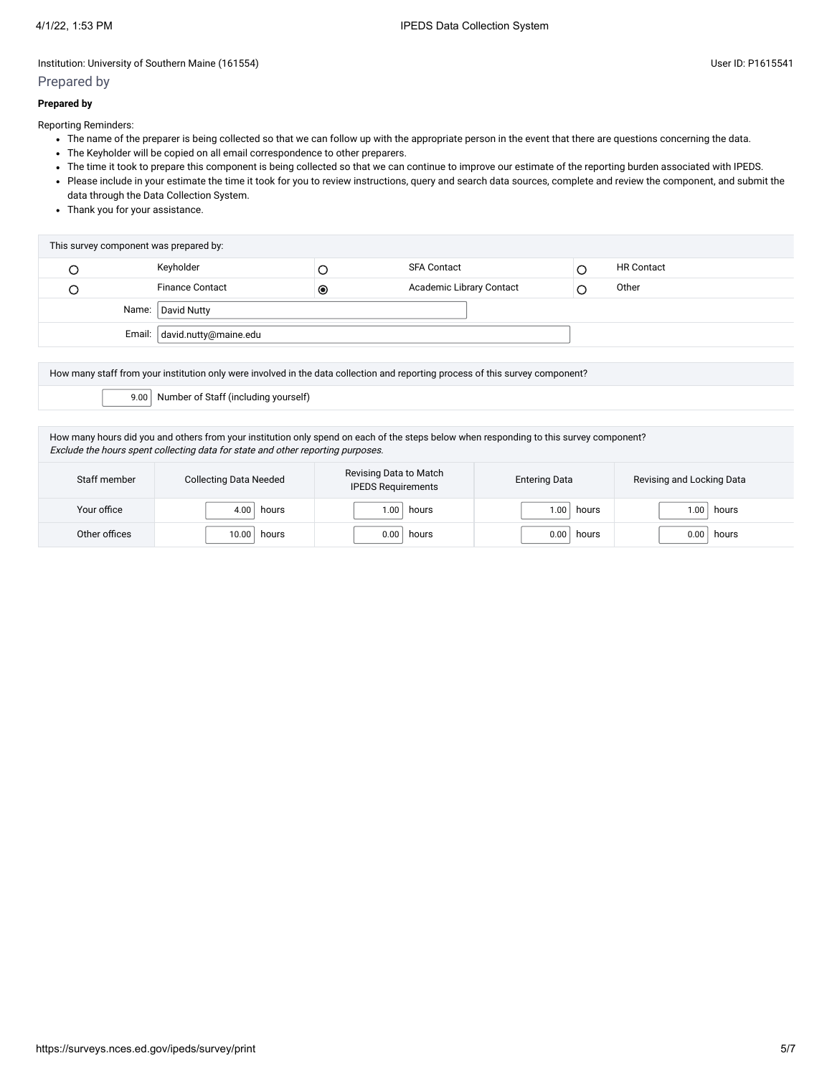### Prepared by

Reporting Reminders:

- The name of the preparer is being collected so that we can follow up with the appropriate person in the event that there are questions concerning the data.
- The Keyholder will be copied on all email correspondence to other preparers.
- The time it took to prepare this component is being collected so that we can continue to improve our estimate of the reporting burden associated with IPEDS.
- Please include in your estimate the time it took for you to review instructions, query and search data sources, complete and review the component, and submit the data through the Data Collection System.
- Thank you for your assistance.

| This survey component was prepared by: |                        |            |                          |  |                   |  |
|----------------------------------------|------------------------|------------|--------------------------|--|-------------------|--|
|                                        | Keyholder              |            | <b>SFA Contact</b>       |  | <b>HR Contact</b> |  |
|                                        | <b>Finance Contact</b> | $_{\circ}$ | Academic Library Contact |  | Other             |  |
|                                        | Name: David Nutty      |            |                          |  |                   |  |
| Email: david.nutty@maine.edu           |                        |            |                          |  |                   |  |

How many staff from your institution only were involved in the data collection and reporting process of this survey component?

9.00 Number of Staff (including yourself)

How many hours did you and others from your institution only spend on each of the steps below when responding to this survey component? Exclude the hours spent collecting data for state and other reporting purposes.

| Staff member  | <b>Collecting Data Needed</b> | Revising Data to Match<br><b>IPEDS Requirements</b> | <b>Entering Data</b> | Revising and Locking Data |
|---------------|-------------------------------|-----------------------------------------------------|----------------------|---------------------------|
| Your office   | 4.00                          | 1.00                                                | 1.00                 | hours                     |
|               | hours                         | hours                                               | hours                | .00.                      |
| Other offices | 10.00                         | 0.00                                                | 0.00                 | 0.00                      |
|               | hours                         | hours                                               | hours                | hours                     |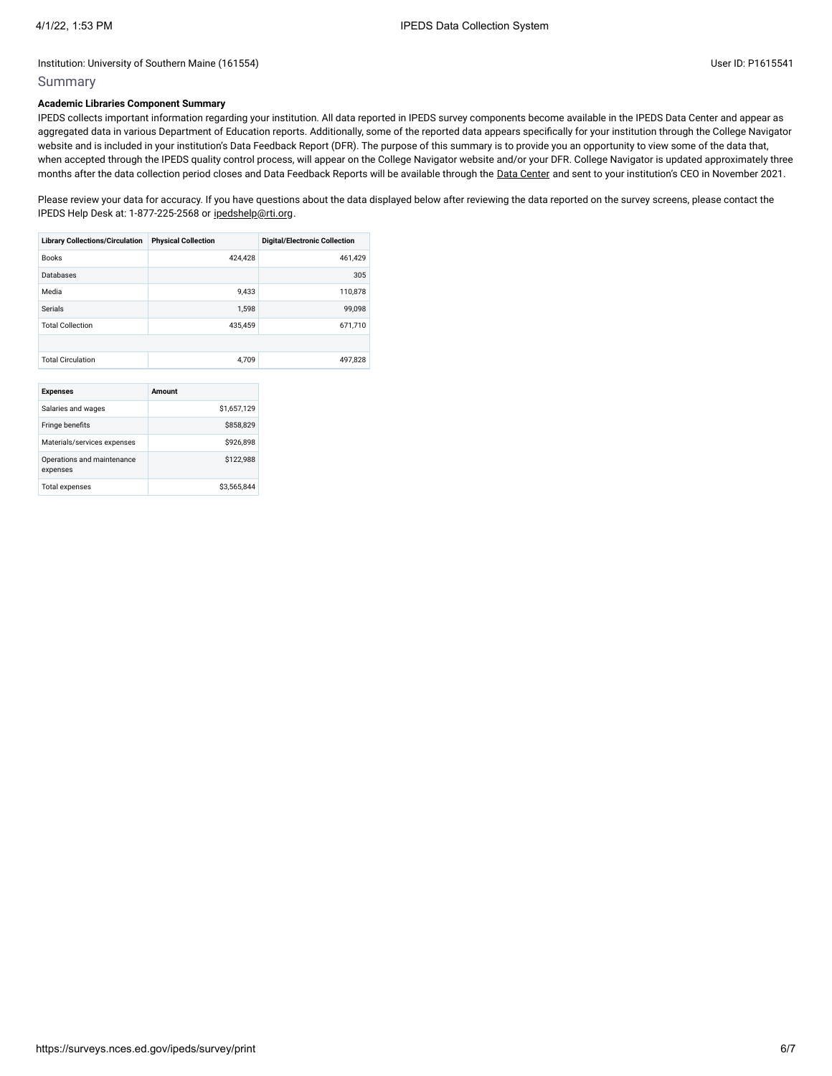### Summary

### **Academic Libraries Component Summary**

IPEDS collects important information regarding your institution. All data reported in IPEDS survey components become available in the IPEDS Data Center and appear as aggregated data in various Department of Education reports. Additionally, some of the reported data appears specifically for your institution through the College Navigator website and is included in your institution's Data Feedback Report (DFR). The purpose of this summary is to provide you an opportunity to view some of the data that, when accepted through the IPEDS quality control process, will appear on the College Navigator website and/or your DFR. College Navigator is updated approximately three months after the data collection period closes and Data Feedback Reports will be available through the Data [Center](https://nces.ed.gov/ipeds/use-the-data) and sent to your institution's CEO in November 2021.

Please review your data for accuracy. If you have questions about the data displayed below after reviewing the data reported on the survey screens, please contact the IPEDS Help Desk at: 1-877-225-2568 or [ipedshelp@rti.org.](mailto:ipedshelp@rti.org)

| <b>Physical Collection</b> | <b>Digital/Electronic Collection</b> |
|----------------------------|--------------------------------------|
| 424.428                    | 461,429                              |
|                            | 305                                  |
| 9.433                      | 110,878                              |
| 1.598                      | 99,098                               |
| 435.459                    | 671,710                              |
|                            |                                      |
| 4.709                      | 497,828                              |
|                            |                                      |

| <b>Expenses</b>                        | Amount      |
|----------------------------------------|-------------|
| Salaries and wages                     | \$1,657,129 |
| Fringe benefits                        | \$858,829   |
| Materials/services expenses            | \$926.898   |
| Operations and maintenance<br>expenses | \$122,988   |
| <b>Total expenses</b>                  | \$3,565,844 |